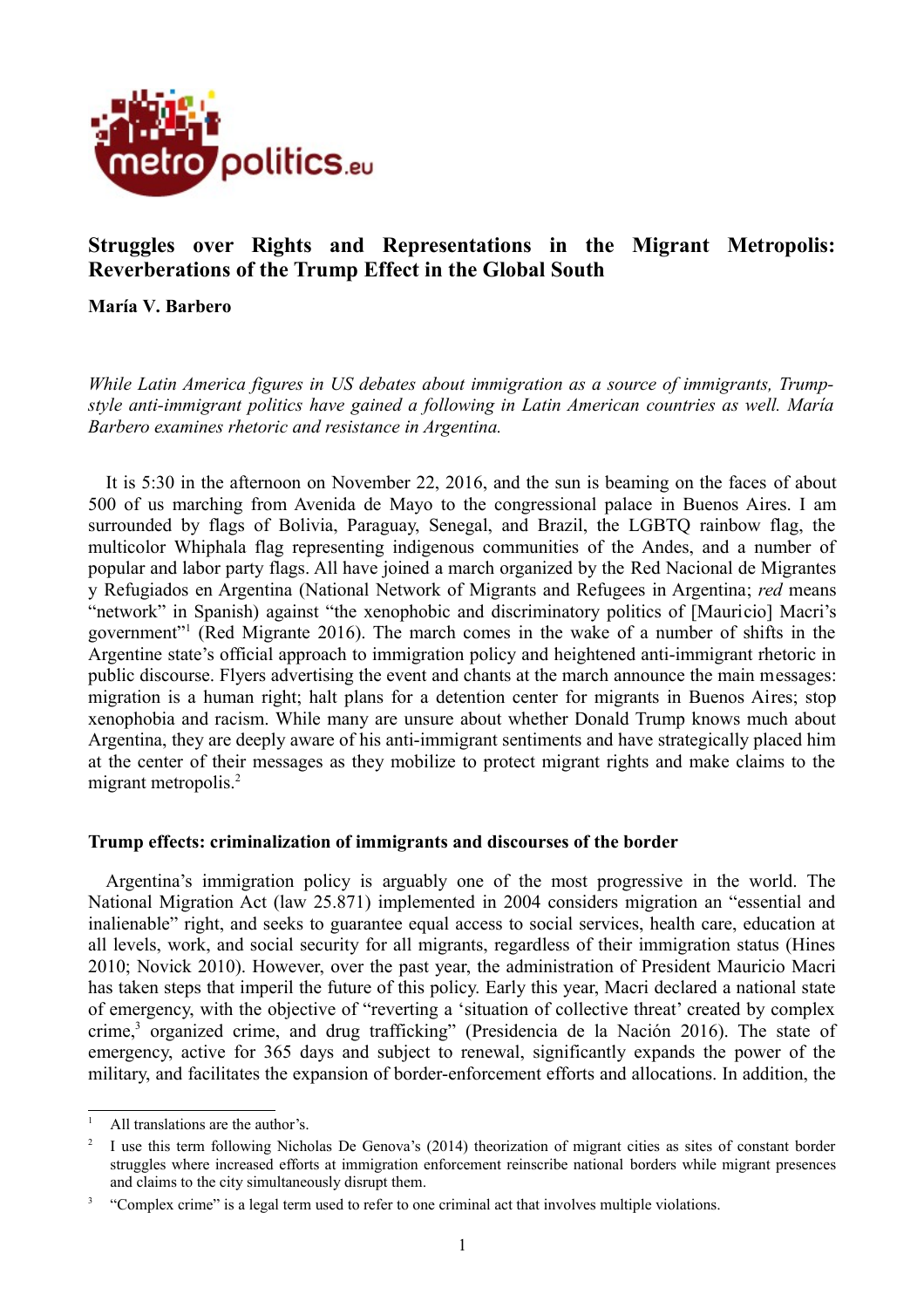

# **Struggles over Rights and Representations in the Migrant Metropolis: Reverberations of the Trump Effect in the Global South**

**María V. Barbero**

*While Latin America figures in US debates about immigration as a source of immigrants, Trumpstyle anti-immigrant politics have gained a following in Latin American countries as well. María Barbero examines rhetoric and resistance in Argentina.*

It is 5:30 in the afternoon on November 22, 2016, and the sun is beaming on the faces of about 500 of us marching from Avenida de Mayo to the congressional palace in Buenos Aires. I am surrounded by flags of Bolivia, Paraguay, Senegal, and Brazil, the LGBTQ rainbow flag, the multicolor Whiphala flag representing indigenous communities of the Andes, and a number of popular and labor party flags. All have joined a march organized by the Red Nacional de Migrantes y Refugiados en Argentina (National Network of Migrants and Refugees in Argentina; *red* means "network" in Spanish) against "the xenophobic and discriminatory politics of [Mauricio] Macri's government"<sup>[1](#page-0-0)</sup> (Red Migrante 2016). The march comes in the wake of a number of shifts in the Argentine state's official approach to immigration policy and heightened anti-immigrant rhetoric in public discourse. Flyers advertising the event and chants at the march announce the main messages: migration is a human right; halt plans for a detention center for migrants in Buenos Aires; stop xenophobia and racism. While many are unsure about whether Donald Trump knows much about Argentina, they are deeply aware of his anti-immigrant sentiments and have strategically placed him at the center of their messages as they mobilize to protect migrant rights and make claims to the migrant metropolis.<sup>[2](#page-0-1)</sup>

## **Trump effects: criminalization of immigrants and discourses of the border**

Argentina's immigration policy is arguably one of the most progressive in the world. The National Migration Act (law 25.871) implemented in 2004 considers migration an "essential and inalienable" right, and seeks to guarantee equal access to social services, health care, education at all levels, work, and social security for all migrants, regardless of their immigration status (Hines 2010; Novick 2010). However, over the past year, the administration of President Mauricio Macri has taken steps that imperil the future of this policy. Early this year, Macri declared a national state of emergency, with the objective of "reverting a 'situation of collective threat' created by complex crime,<sup>[3](#page-0-2)</sup> organized crime, and drug trafficking" (Presidencia de la Nación 2016). The state of emergency, active for 365 days and subject to renewal, significantly expands the power of the military, and facilitates the expansion of border-enforcement efforts and allocations. In addition, the

<span id="page-0-0"></span><sup>&</sup>lt;sup>1</sup> All translations are the author's.

<span id="page-0-1"></span><sup>2</sup> I use this term following Nicholas De Genova's (2014) theorization of migrant cities as sites of constant border struggles where increased efforts at immigration enforcement reinscribe national borders while migrant presences and claims to the city simultaneously disrupt them.

<span id="page-0-2"></span><sup>3</sup> "Complex crime" is a legal term used to refer to one criminal act that involves multiple violations.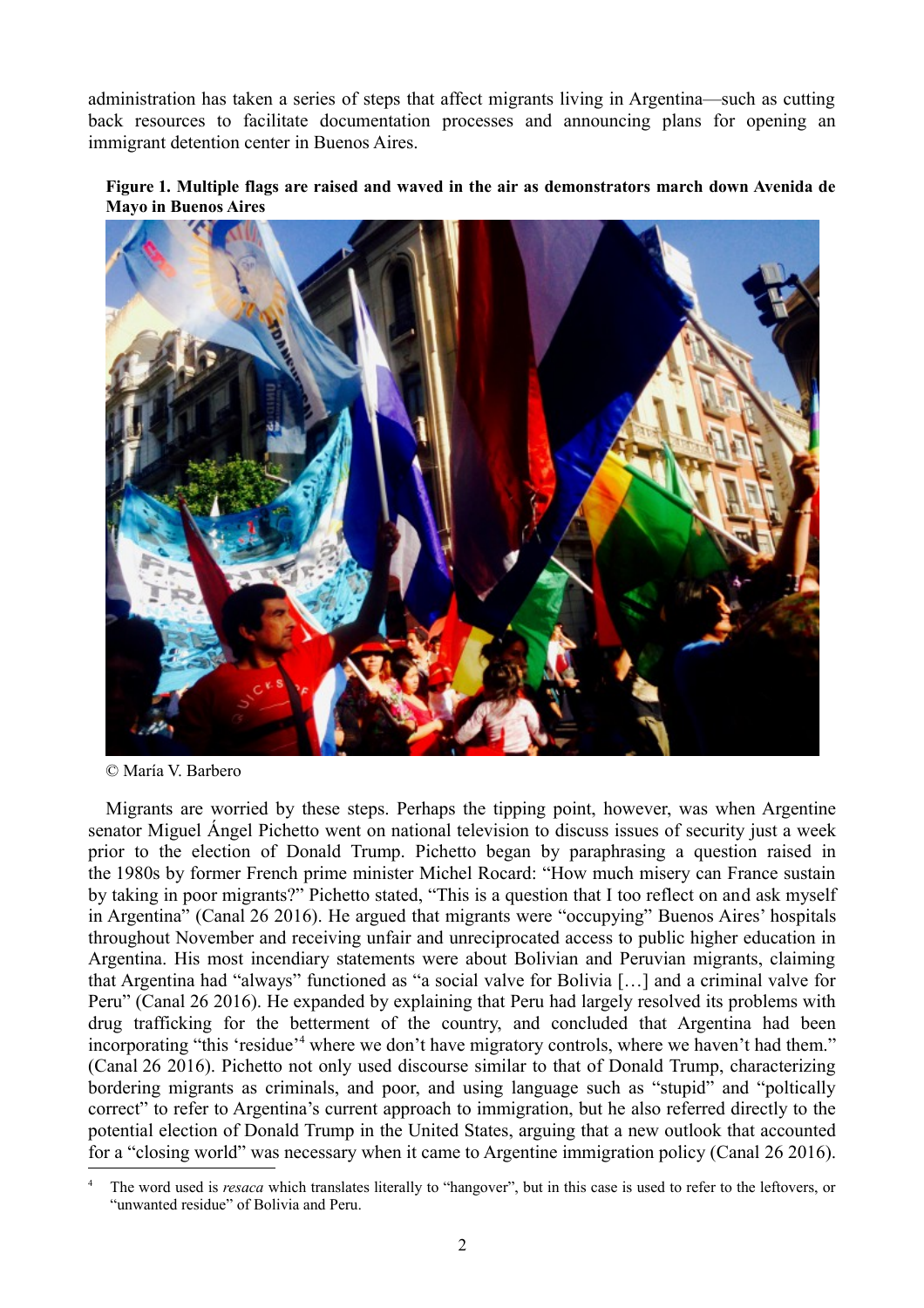administration has taken a series of steps that affect migrants living in Argentina—such as cutting back resources to facilitate documentation processes and announcing plans for opening an immigrant detention center in Buenos Aires.





© María V. Barbero

Migrants are worried by these steps. Perhaps the tipping point, however, was when Argentine senator Miguel Ángel Pichetto went on national television to discuss issues of security just a week prior to the election of Donald Trump. Pichetto began by paraphrasing a question raised in the 1980s by former French prime minister Michel Rocard: "How much misery can France sustain by taking in poor migrants?" Pichetto stated, "This is a question that I too reflect on and ask myself in Argentina" (Canal 26 2016). He argued that migrants were "occupying" Buenos Aires' hospitals throughout November and receiving unfair and unreciprocated access to public higher education in Argentina. His most incendiary statements were about Bolivian and Peruvian migrants, claiming that Argentina had "always" functioned as "a social valve for Bolivia […] and a criminal valve for Peru" (Canal 26 2016). He expanded by explaining that Peru had largely resolved its problems with drug trafficking for the betterment of the country, and concluded that Argentina had been incorporating "this 'residue'<sup>[4](#page-1-0)</sup> where we don't have migratory controls, where we haven't had them." (Canal 26 2016). Pichetto not only used discourse similar to that of Donald Trump, characterizing bordering migrants as criminals, and poor, and using language such as "stupid" and "poltically correct" to refer to Argentina's current approach to immigration, but he also referred directly to the potential election of Donald Trump in the United States, arguing that a new outlook that accounted for a "closing world" was necessary when it came to Argentine immigration policy (Canal 26 2016).

<span id="page-1-0"></span>The word used is *resaca* which translates literally to "hangover", but in this case is used to refer to the leftovers, or "unwanted residue" of Bolivia and Peru.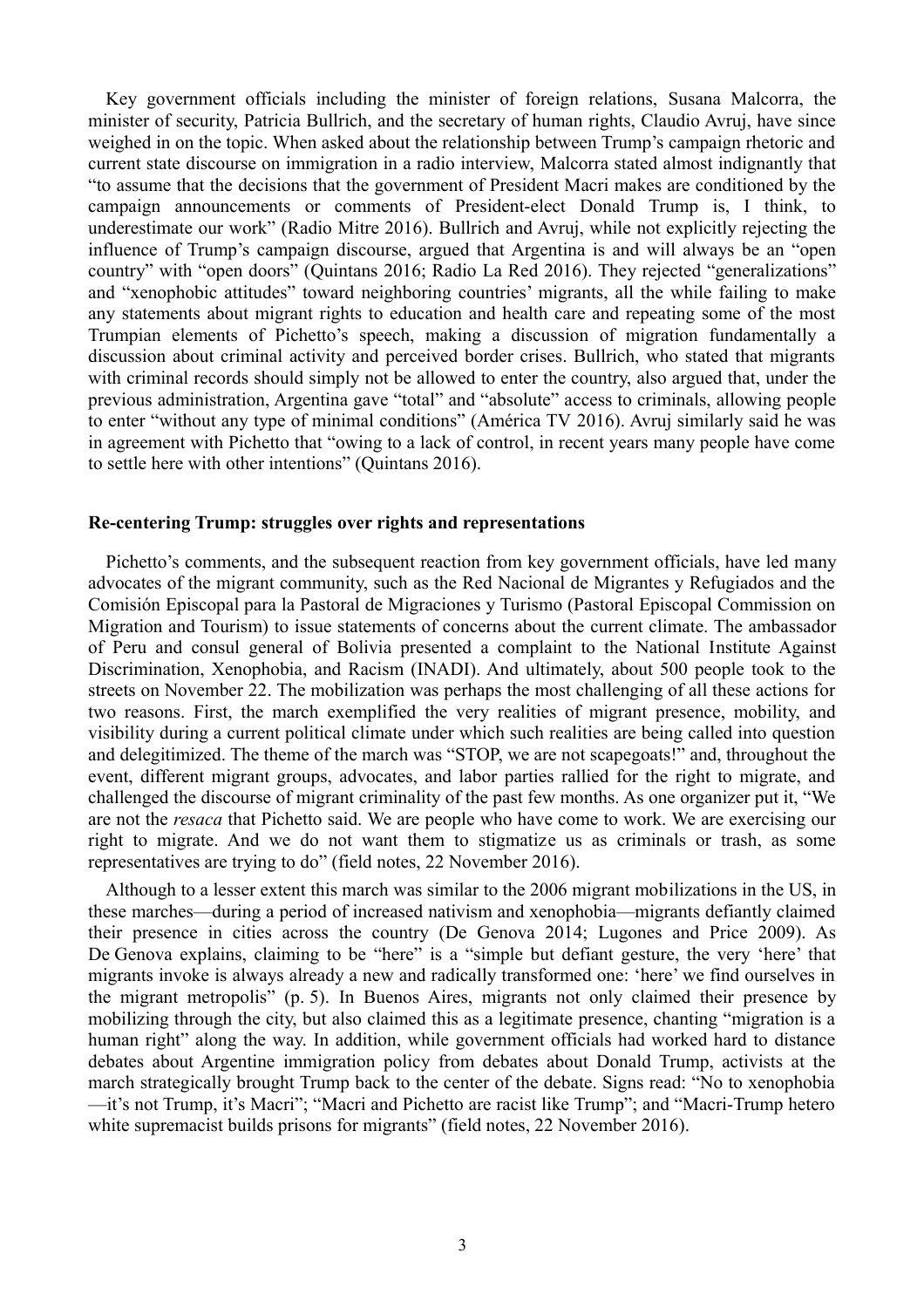Key government officials including the minister of foreign relations, Susana Malcorra, the minister of security, Patricia Bullrich, and the secretary of human rights, Claudio Avruj, have since weighed in on the topic. When asked about the relationship between Trump's campaign rhetoric and current state discourse on immigration in a radio interview, Malcorra stated almost indignantly that "to assume that the decisions that the government of President Macri makes are conditioned by the campaign announcements or comments of President-elect Donald Trump is, I think, to underestimate our work" (Radio Mitre 2016). Bullrich and Avruj, while not explicitly rejecting the influence of Trump's campaign discourse, argued that Argentina is and will always be an "open country" with "open doors" (Quintans 2016; Radio La Red 2016). They rejected "generalizations" and "xenophobic attitudes" toward neighboring countries' migrants, all the while failing to make any statements about migrant rights to education and health care and repeating some of the most Trumpian elements of Pichetto's speech, making a discussion of migration fundamentally a discussion about criminal activity and perceived border crises. Bullrich, who stated that migrants with criminal records should simply not be allowed to enter the country, also argued that, under the previous administration, Argentina gave "total" and "absolute" access to criminals, allowing people to enter "without any type of minimal conditions" (América TV 2016). Avruj similarly said he was in agreement with Pichetto that "owing to a lack of control, in recent years many people have come to settle here with other intentions" (Quintans 2016).

#### **Re-centering Trump: struggles over rights and representations**

Pichetto's comments, and the subsequent reaction from key government officials, have led many advocates of the migrant community, such as the Red Nacional de Migrantes y Refugiados and the Comisión Episcopal para la Pastoral de Migraciones y Turismo (Pastoral Episcopal Commission on Migration and Tourism) to issue statements of concerns about the current climate. The ambassador of Peru and consul general of Bolivia presented a complaint to the National Institute Against Discrimination, Xenophobia, and Racism (INADI). And ultimately, about 500 people took to the streets on November 22. The mobilization was perhaps the most challenging of all these actions for two reasons. First, the march exemplified the very realities of migrant presence, mobility, and visibility during a current political climate under which such realities are being called into question and delegitimized. The theme of the march was "STOP, we are not scapegoats!" and, throughout the event, different migrant groups, advocates, and labor parties rallied for the right to migrate, and challenged the discourse of migrant criminality of the past few months. As one organizer put it, "We are not the *resaca* that Pichetto said. We are people who have come to work. We are exercising our right to migrate. And we do not want them to stigmatize us as criminals or trash, as some representatives are trying to do" (field notes, 22 November 2016).

Although to a lesser extent this march was similar to the 2006 migrant mobilizations in the US, in these marches—during a period of increased nativism and xenophobia—migrants defiantly claimed their presence in cities across the country (De Genova 2014; Lugones and Price 2009). As De Genova explains, claiming to be "here" is a "simple but defiant gesture, the very 'here' that migrants invoke is always already a new and radically transformed one: 'here' we find ourselves in the migrant metropolis" (p. 5). In Buenos Aires, migrants not only claimed their presence by mobilizing through the city, but also claimed this as a legitimate presence, chanting "migration is a human right" along the way. In addition, while government officials had worked hard to distance debates about Argentine immigration policy from debates about Donald Trump, activists at the march strategically brought Trump back to the center of the debate. Signs read: "No to xenophobia —it's not Trump, it's Macri"; "Macri and Pichetto are racist like Trump"; and "Macri-Trump hetero white supremacist builds prisons for migrants" (field notes, 22 November 2016).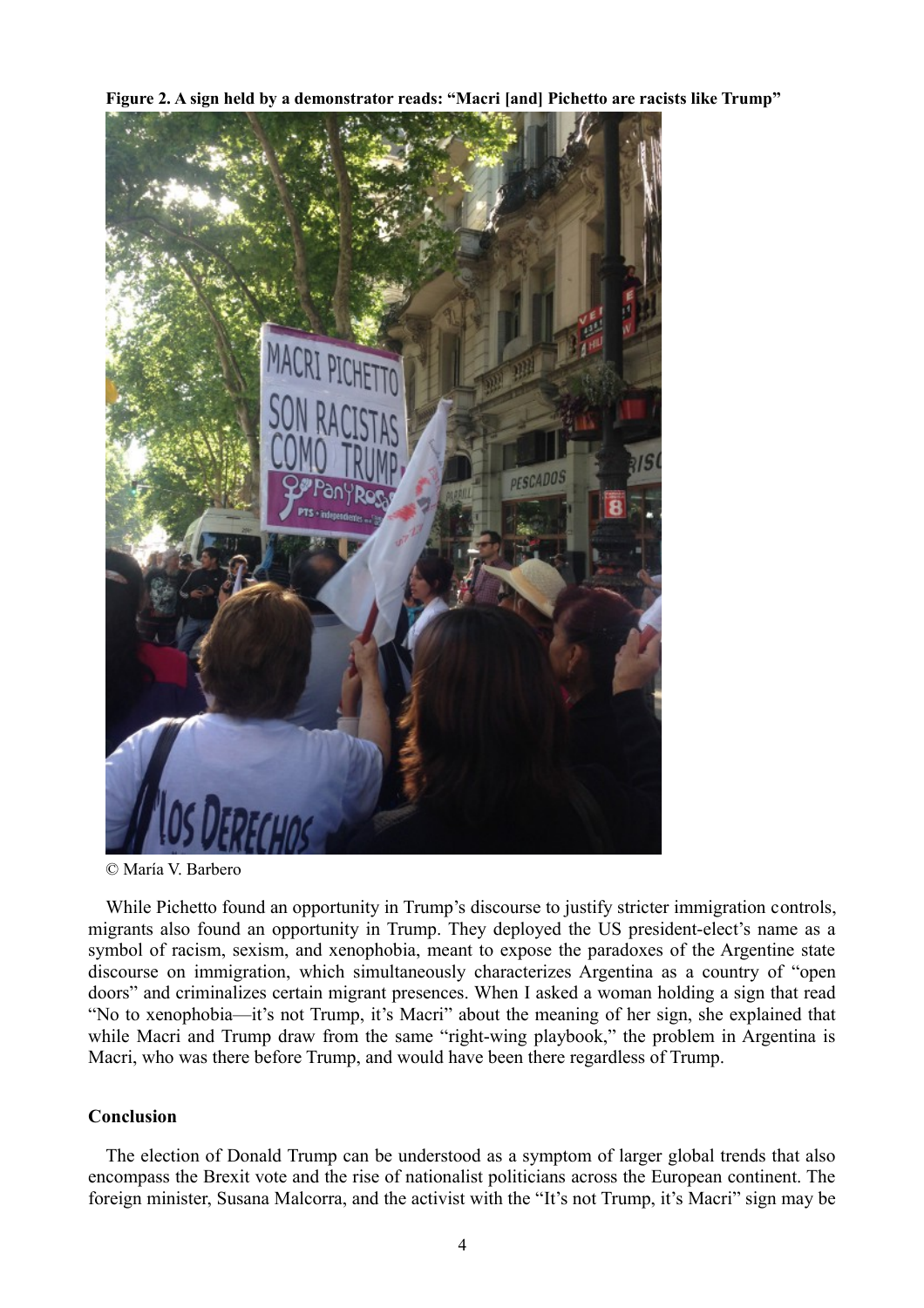**Figure 2. A sign held by a demonstrator reads: "Macri [and] Pichetto are racists like Trump"**



<sup>©</sup> María V. Barbero

While Pichetto found an opportunity in Trump's discourse to justify stricter immigration controls, migrants also found an opportunity in Trump. They deployed the US president-elect's name as a symbol of racism, sexism, and xenophobia, meant to expose the paradoxes of the Argentine state discourse on immigration, which simultaneously characterizes Argentina as a country of "open doors" and criminalizes certain migrant presences. When I asked a woman holding a sign that read "No to xenophobia—it's not Trump, it's Macri" about the meaning of her sign, she explained that while Macri and Trump draw from the same "right-wing playbook," the problem in Argentina is Macri, who was there before Trump, and would have been there regardless of Trump.

## **Conclusion**

The election of Donald Trump can be understood as a symptom of larger global trends that also encompass the Brexit vote and the rise of nationalist politicians across the European continent. The foreign minister, Susana Malcorra, and the activist with the "It's not Trump, it's Macri" sign may be